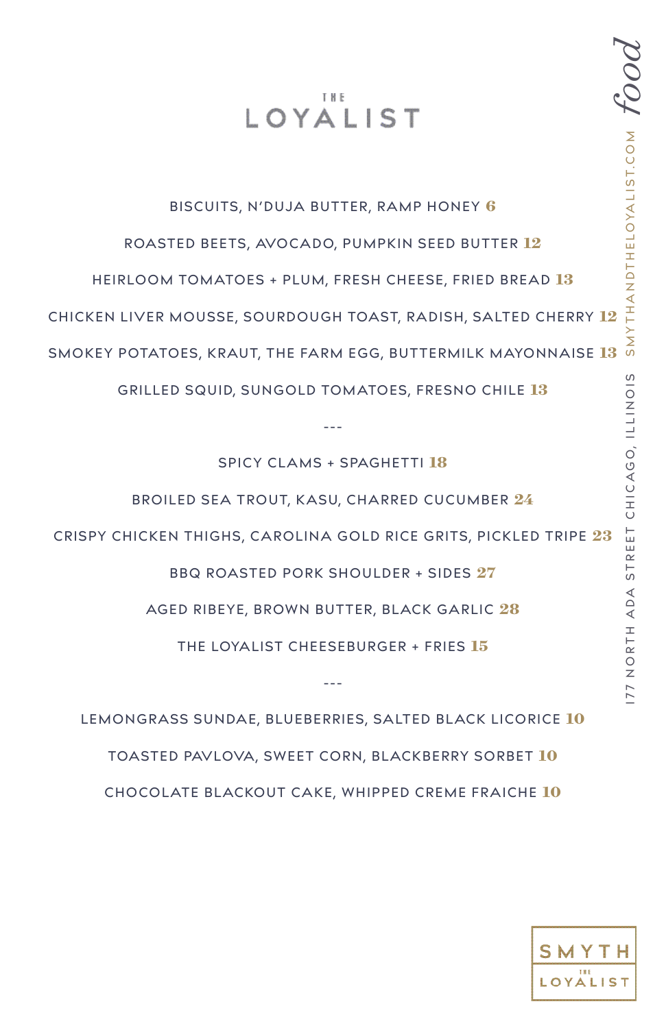# THE **IOYALIST**

#### BISCUITS, N'DUJA BUTTER, RAMP HONEY **6**

ROASTED BEETS, AVOCADO, PUMPKIN SEED BUTTER **12**

HEIRLOOM TOMATOES + PLUM, FRESH CHEESE, FRIED BREAD **13**

CHICKEN LIVER MOUSSE, SOURDOUGH TOAST, RADISH, SALTED CHERRY **12**

SMOKEY POTATOES, KRAUT, THE FARM EGG, BUTTERMILK MAYONNAISE **13**

GRILLED SQUID, SUNGOLD TOMATOES, FRESNO CHILE **13**

SPICY CLAMS + SPAGHETTI **18**

‑--

BROILED SEA TROUT, KASU, CHARRED CUCUMBER **24**

CRISPY CHICKEN THIGHS, CAROLINA GOLD RICE GRITS, PICKLED TRIPE **23**

BBQ ROASTED PORK SHOULDER + SIDES **27**

AGED RIBEYE, BROWN BUTTER, BLACK GARLIC **28**

THE LOYALIST CHEESEBURGER + FRIES **15**

‑--

LEMONGRASS SUNDAE, BLUEBERRIES, SALTED BLACK LICORICE **10** TOASTED PAVLOVA, SWEET CORN, BLACKBERRY SORBET **10** CHOCOLATE BLACKOUT CAKE, WHIPPED CREME FRAICHE **10**